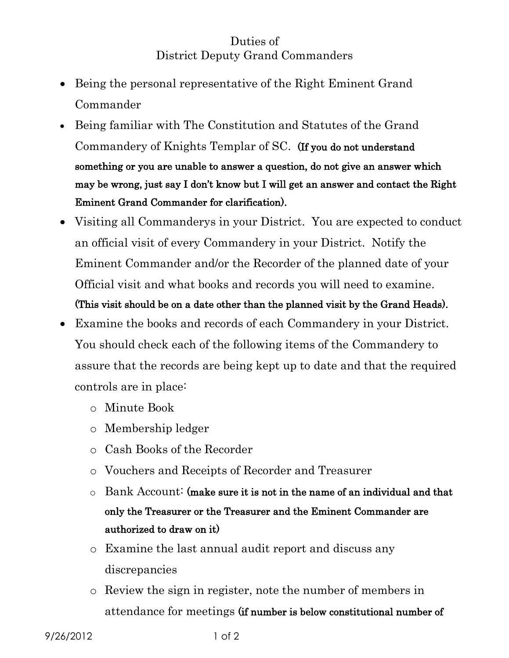## Duties of District Deputy Grand Commanders

- Being the personal representative of the Right Eminent Grand Commander
- Being familiar with The Constitution and Statutes of the Grand Commandery of Knights Templar of SC. (If you do not understand something or you are unable to answer a question, do not give an answer which may be wrong, just say I don't know but I will get an answer and contact the Right Eminent Grand Commander for clarification).
- Visiting all Commanderys in your District. You are expected to conduct an official visit of every Commandery in your District. Notify the Eminent Commander and/or the Recorder of the planned date of your Official visit and what books and records you will need to examine. (This visit should be on a date other than the planned visit by the Grand Heads).
- Examine the books and records of each Commandery in your District. You should check each of the following items of the Commandery to assure that the records are being kept up to date and that the required controls are in place:
	- o Minute Book
	- o Membership ledger
	- o Cash Books of the Recorder
	- o Vouchers and Receipts of Recorder and Treasurer
	- o Bank Account: (make sure it is not in the name of an individual and that only the Treasurer or the Treasurer and the Eminent Commander are authorized to draw on it)
	- o Examine the last annual audit report and discuss any discrepancies
	- o Review the sign in register, note the number of members in attendance for meetings (if number is below constitutional number of